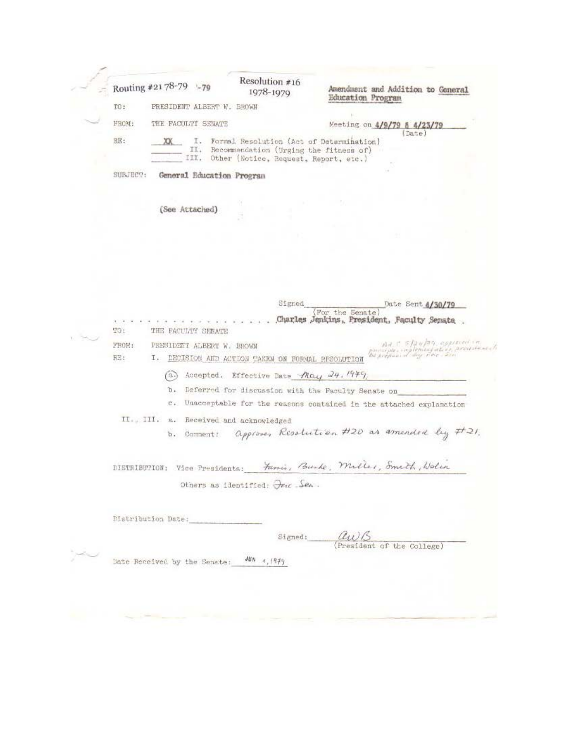|  | Routing #2178-79 -79 |      |                              | Resolution #16<br>1978-1979            |                                                   | Amendment and Addition to General<br><b>Education Program</b>                                |  |
|--|----------------------|------|------------------------------|----------------------------------------|---------------------------------------------------|----------------------------------------------------------------------------------------------|--|
|  | TO:                  |      | PRESIDENT ALBERT W. BROWN    |                                        |                                                   |                                                                                              |  |
|  | FROM:                |      | THE FACULTY SENATE           |                                        |                                                   | Meeting on 4/9/79 & 4/23/79                                                                  |  |
|  | <b>RE:</b>           | XX   | I.<br>п.<br>III.             |                                        | Other (Notice, Request, Report, etc.)             | (Date)<br>Formal Resolution (Act of Determination)<br>Recommendation (Urging the fitness of) |  |
|  | SURTECT:             |      |                              | General Education Program              |                                                   |                                                                                              |  |
|  |                      |      | (See Attached)               |                                        |                                                   |                                                                                              |  |
|  |                      |      |                              |                                        |                                                   |                                                                                              |  |
|  |                      |      |                              |                                        |                                                   |                                                                                              |  |
|  |                      |      |                              |                                        |                                                   |                                                                                              |  |
|  |                      |      |                              |                                        | Signed                                            |                                                                                              |  |
|  | 1CT                  |      | THE FACULTY SENATE           |                                        |                                                   | Date Sent 4/30/79<br>For the Senate<br>Charles Jenkins, President, Faculty Senate            |  |
|  | FROM:                |      | PRESIDENT ALBERT W. BROWN    |                                        |                                                   | Ad E STAY/AT, approved in                                                                    |  |
|  | RE:                  |      |                              |                                        | I. DECISION AND ACTION TAKEN ON FORMAL RESOLUTION | punique implementation, accusivait                                                           |  |
|  |                      | (3.) |                              |                                        | Accepted. Effective Date May 24. 1979             |                                                                                              |  |
|  |                      | D.   |                              |                                        |                                                   | Deferred for discussion with the Faculty Senate on                                           |  |
|  |                      |      |                              |                                        |                                                   | c. Unacceptable for the reasons contained in the attached explanation                        |  |
|  |                      |      |                              | II., III. a. Received and acknowledged |                                                   |                                                                                              |  |
|  |                      |      | b. Comment:                  |                                        |                                                   | approver Resolution #20 as amended by #21.                                                   |  |
|  |                      |      |                              |                                        |                                                   | DISTRIBUTION: Vice Presidents: Famis, Burke, Miller, Smith, Wolin                            |  |
|  |                      |      |                              |                                        | Others as identified: Oric Sen.                   |                                                                                              |  |
|  |                      |      |                              |                                        |                                                   |                                                                                              |  |
|  | Distribution Date:   |      |                              |                                        |                                                   |                                                                                              |  |
|  |                      |      |                              |                                        | Signed:                                           | au                                                                                           |  |
|  |                      |      |                              | $JBD = 4, 1979$                        |                                                   | President of the College)                                                                    |  |
|  |                      |      | Bate Received by the Senate: |                                        |                                                   |                                                                                              |  |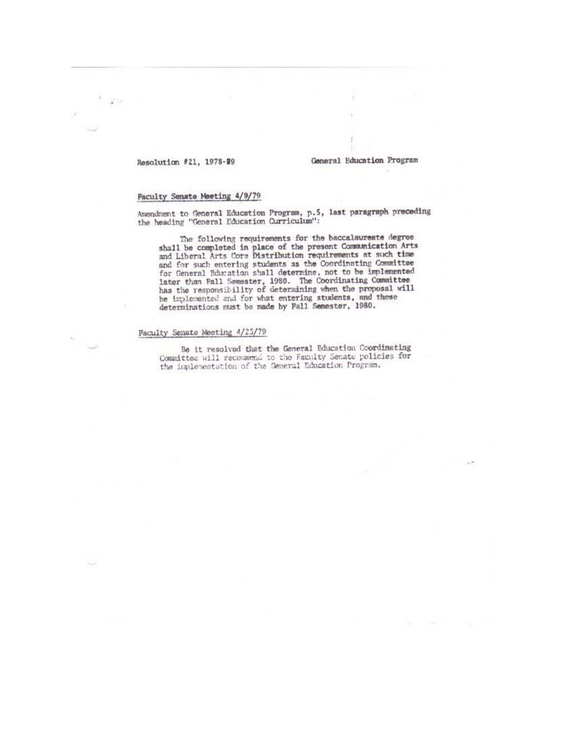### Resolution #21, 1978-#9

 $\mathbf{A}^{\text{CFT}}$ 

#### General Education Program

#### Faculty Senate Meeting 4/9/79

Amendment to General Education Program, p.5, last paragraph preceding the heading "General Education Curriculum":

The following requirements for the baccalaurente degree<br>shall be completed in place of the present Communication Arts<br>and Liberal Arts Core Distribution requirements at such time and for such entering students as the Coordinating Committee and for Such entering statents as the Coordinating community<br>for General Education shall determine, not to be implemented<br>later than Fall Semester, 1980. The Coordinating Committee<br>has the responsibility of determining whe

#### Faculty Senate Meeting 4/23/79

Be it resolved that the General Education Coordinating Committee will recommend to the Faculty Senate policies for the implementation of the General Education Program.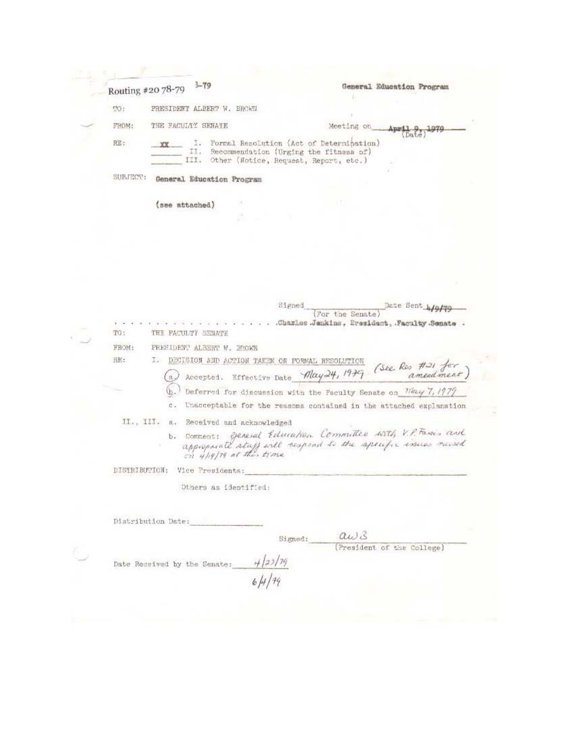|                | $3 - 79$<br>Routing #20 78-79                     | General Education Program                                                                                                               |
|----------------|---------------------------------------------------|-----------------------------------------------------------------------------------------------------------------------------------------|
| $\mathcal{D}:$ | PRESIDENT ALBERT W. BROWN                         |                                                                                                                                         |
| FROM:          | THE FACULTY SENATE                                | Meeting on<br>Anmil                                                                                                                     |
| RE:            | XX                                                | I. Formal Resolution (Act of Determination)<br>II. Recommendation (Urging the fitness of)<br>III. Other (Notice, Request, Report, etc.) |
| SUBJECT:       | General Education Program                         |                                                                                                                                         |
|                | (see attached)                                    |                                                                                                                                         |
|                |                                                   |                                                                                                                                         |
|                |                                                   |                                                                                                                                         |
|                |                                                   |                                                                                                                                         |
|                |                                                   |                                                                                                                                         |
|                |                                                   |                                                                                                                                         |
|                |                                                   | Signed<br>Date Sent higher<br>(For the Senate)                                                                                          |
| TO:            | THE FACULTY SENATE                                | .Charles Jenkins, President, Faculty Senate .                                                                                           |
| FROM:          | PRESIDENT ALBERT W. BROWN                         |                                                                                                                                         |
| BE:            | I. DECISION AND ACTION TAKEN ON FORMAL RESOLVTION | Accepted. Effective Date May 24, 1979 (See Res #21 for)                                                                                 |
|                | $\mathfrak{a}$                                    |                                                                                                                                         |
|                | с.                                                | Deferred for discussion with the Faculty Senate on May 7, 1979<br>Unacceptable for the reasons contained in the attached explanation    |
|                | II., III. a. Received and acknowledged            |                                                                                                                                         |
|                |                                                   | b. Comment: General Education Committee with V.P. Fasses and<br>appropriate staff will respond to the apecufic insures runsed           |
|                | DISTRIBUTION: Vice Presidents:                    |                                                                                                                                         |
|                | Others as identified:                             |                                                                                                                                         |
|                |                                                   |                                                                                                                                         |
|                | Distribution Date:                                |                                                                                                                                         |
|                |                                                   | aws<br>Signed:                                                                                                                          |
|                |                                                   | (President of the College)<br>$\frac{4}{23/79}$<br>6/4/79                                                                               |
|                | Date Received by the Senate:                      |                                                                                                                                         |
|                |                                                   |                                                                                                                                         |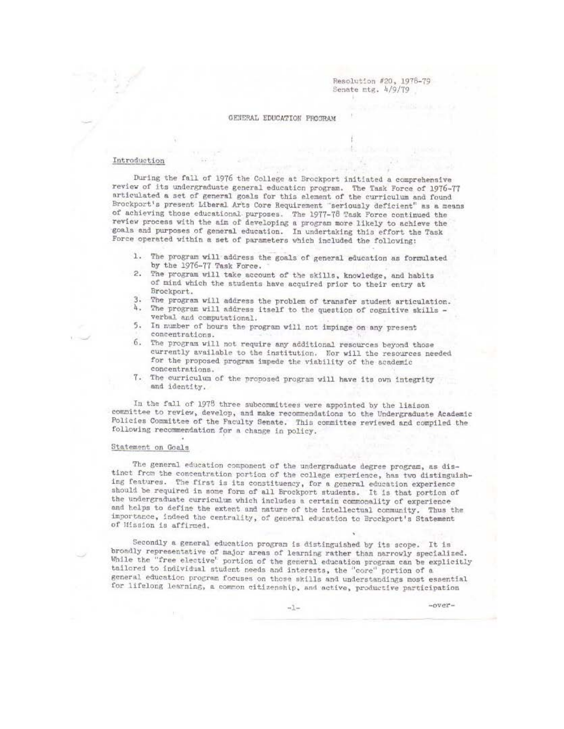Resolution #20, 1978-79 Senate mtg. 4/9/79

#### GENERAL EDUCATION PROGRAM

#### Introduction

During the fall of 1976 the College at Brockport initiated a comprehensive review of its undergraduate general education program. The Task Force of 1976-77 articulated a set of general goals for this element of the curriculum and found Brockport's present Liberal Arts Core Requirement "seriously deficient" as a means of achieving those educational purposes. The 1977-78 Task Force continued the review process with the aim of developing a program more likely to achieve the goals and purposes of general education. In undertaking this effort the Task Force operated within a set of parameters which included the following:

- 1. The program will address the goals of general education as formulated by the 1976-77 Task Force.
- 2. The program will take account of the skills, knowledge, and habits of mind which the students have acquired prior to their entry at Brockport.
- 3. The program will address the problem of transfer student articulation. 4. The program will address itself to the question of cognitive skills verbal and computational.
- In number of hours the program will not impinge on any present 5. concentrations.
- 6. The program will not require any additional resources beyond those currently available to the institution. Nor will the resources needed for the proposed program impede the viability of the academic concentrations.
- 7. The curriculum of the proposed program will have its own integrity and identity.

In the fall of 1978 three subcommittees were appointed by the liaison committee to review, develop, and make recommendations to the Undergraduate Academic Policies Committee of the Faculty Senate. This committee reviewed and compiled the following recommendation for a change in policy.

#### Statement on Goals

The general education component of the undergraduate degree program, as distinct from the concentration portion of the college experience, has two distinguishing features. The first is its constituency, for a general education experience should be required in some form of all Brockport students. It is that portion of the undergraduate curriculum which includes a certain commonality of experience and helps to define the extent and nature of the intellectual community. Thus the importance, indeed the centrality, of general education to Brockport's Statement of Mission is affirmed.

Secondly a general education program is distinguished by its scope. It is broadly representative of major areas of learning rather than narrowly specialized. While the "free elective" portion of the general education program can be explicitly tailored to individual student needs and interests, the "core" portion of a general education program focuses on those skills and understandings most essential for lifelong learning, a common citizenship, and active, productive participation

 $-over-$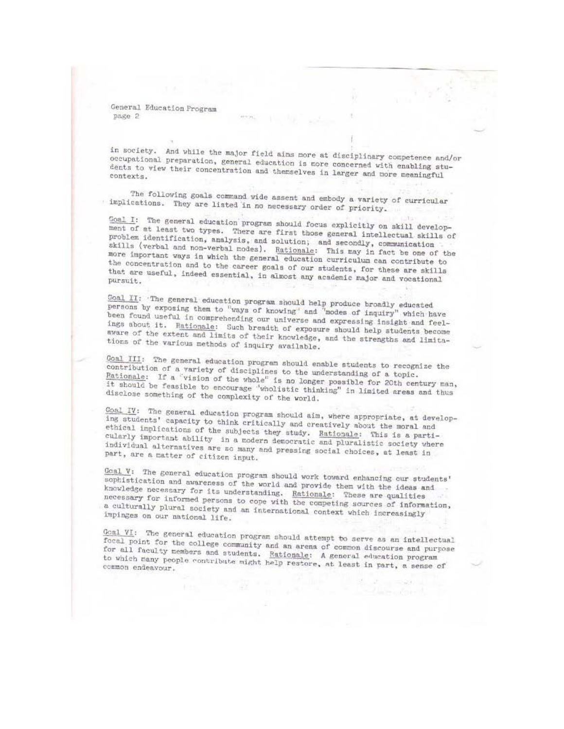in society. And while the major field aims more at disciplinary competence and/or occupational preparation, general education is more concerned with enabling students to view their concentration and themselves in larger and more meaningful

The following goals command wide assent and embody a variety of curricular implications. They are listed in no necessary order of priority.

Coal I: The general education program should focus explicitly on skill development of at least two types. There are first those general intellectual skills of problem identification, analysis, and solution; and secondly, communication skills (verbal and non-verbal modes). Rationale: This may in fact be one of the more important ways in which the general education curriculum can contribute to the concentration and to the career goals of our students, for these are skills that are useful, indeed essential, in almost any academic major and vocational

Coal II: The general education program should help produce broadly educated persons by exposing them to "ways of knowing" and "modes of inquiry" which have been found useful in comprehending our universe and expressing insight and feelings about it. Rationale: Such breadth of exposure should help students become aware of the extent and limits of their knowledge, and the strengths and limitations of the various methods of inquiry available.

Goal III: The general education program should enable students to recognize the contribution of a variety of disciplines to the understanding of a topic. Rationale: If a "vision of the whole" is no longer possible for 20th century man, it should be feasible to encourage "wholistic thinking" in limited areas and thus disclose something of the complexity of the world.

Coal IV: The general education program should aim, where appropriate, at developing students' capacity to think critically and creatively about the moral and ethical implications of the subjects they study. Bationale: This is a particularly important ability in a modern democratic and pluralistic society where individual alternatives are so many and pressing social choices, at least in part, are a matter of citizen input.

Goal V: The general education program should work toward enhancing our students' sophistication and awareness of the world and provide them with the ideas and knowledge necessary for its understanding. Rationale: These are qualities necessary for informed persons to cope with the competing sources of information, a culturally plural society and an international context which increasingly impinges on our national life.

Goal VI: The general education program should attempt to serve as an intellectual focal point for the college community and an arena of common discourse and purpose for all faculty members and students. Rationale: A general education program to which many people contribute might help restore, at least in part, a sense of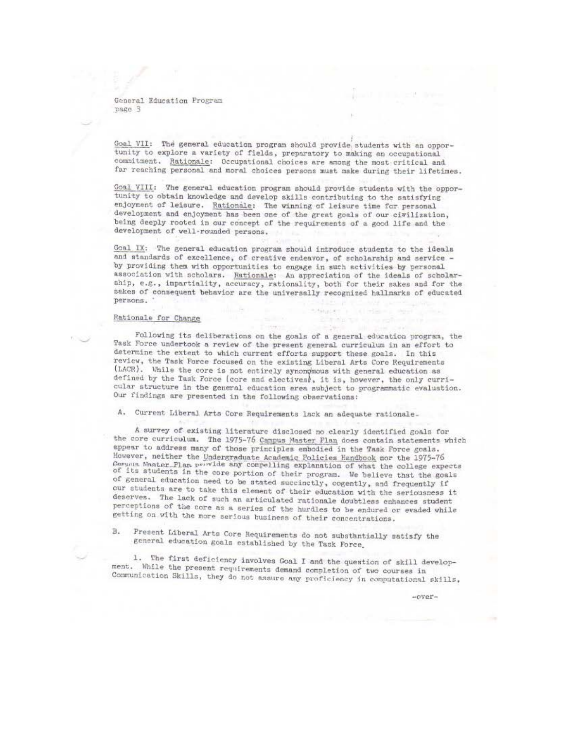Goal VII: The general education program should provide students with an opportunity to explore a variety of fields, preparatory to making an occupational commitment. Rationale: Occupational choices are among the most critical and far reaching personal and moral choices persons must make during their lifetimes.

Goal VIII: The general education program should provide students with the opportunity to obtain knowledge and develop skills contributing to the satisfying enjoyment of leisure. Rationale: The winning of leisure time for personal development and enjoyment has been one of the great goals of our civilization, being deeply rooted in our concept of the requirements of a good life and the development of well-rounded persons.

Goal IX: The general education program should introduce students to the ideals and standards of excellence, of creative endeavor, of scholarship and service by providing them with opportunities to engage in such activities by personal association with scholars. Rationale: An appreciation of the ideals of scholarship, e.g., impartiality, accuracy, rationality, both for their sakes and for the sakes of consequent behavior are the universally recognized hallmarks of educated persons.

20 miles

#### Rationale for Change

Following its deliberations on the goals of a general education program, the Task Force undertook a review of the present general curriculum in an effort to determine the extent to which current efforts support these goals. In this review, the Task Force focused on the existing Liberal Arts Core Requirements (LACR). While the core is not entirely synonomous with general education as defined by the Task Force (core and electives), it is, however, the only curricular structure in the general education erea subject to programmatic evaluation. Our findings are presented in the following observations:

A. Current Liberal Arts Core Requirements lack an adequate rationale.

**THIRSE** 

A survey of existing literature disclosed no clearly identified goals for the core curriculum. The 1975-76 Campus Master Plan does contain statements which appear to address many of those principles embodied in the Task Force goals. However, neither the Undergraduate Academic Policies Handbook nor the 1975-76 Coruna Master\_Plan provide any compelling explanation of what the college expects of its students in the core portion of their program. We believe that the goals of general education need to be stated succinctly, cogently, and frequently if our students are to take this element of their education with the seriousness it deserves. The lack of such an articulated rationale doubtless enhances student perceptions of the core as a series of the hurdles to be endured or evaded while getting on with the more serious business of their concentrations.

Present Liberal Arts Core Requirements do not substantially satisfy the B. general education goals established by the Task Force.

1. The first deficiency involves Goal I and the question of skill development. While the present requirements demand completion of two courses in Communication Skills, they do not assure any proficiency in computational skills,

 $-0$ ver $-$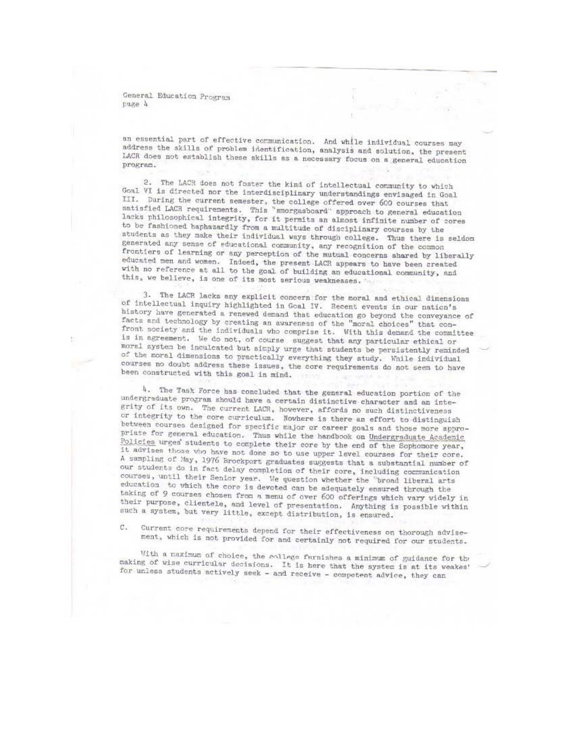an essential part of effective communication. And while individual courses may address the skills of problem identification, analysis and solution, the present LACR does not establish these skills as a necessary focus on a general education program.

2. The LACR does not foster the kind of intellectual community to which Goal VI is directed nor the interdisciplinary understandings envisaged in Goal III. During the current semester, the college offered over 600 courses that satisfied LACR requirements. This "smorgasboard" approach to general education lacks philosophical integrity, for it permits an almost infinite number of cores to be fashioned haphazardly from a multitude of disciplinary courses by the students as they make their individual ways through college. Thus there is seldom generated any sense of educational community, any recognition of the common frontiers of learning or any perception of the mutual concerns shared by liberally educated men and women. Indeed, the present LACR appears to have been created with no reference at all to the goal of building an educational community, and this, we believe, is one of its most serious weaknesses.

3. The LACR lacks any explicit concern for the moral and ethical dimensions of intellectual inquiry highlighted in Goal IV. Recent events in our nation's history have generated a renewed demand that education go beyond the conveyance of facts and technology by creating an awareness of the "moral choices" that confront society and the individuals who comprise it. With this demand the committee is in agreement. We do not, of course suggest that any particular ethical or moral system be inculcated but simply urge that students be persistently reminded of the moral dimensions to practically everything they study. While individual courses no doubt address these issues, the core requirements do not seem to have been constructed with this goal in mind.

4. The Task Force has concluded that the general education portion of the undergraduate program should have a certain distinctive character and an integrity of its own. The current LACR, however, affords no such distinctiveness or integrity to the core curriculum. Nowhere is there an effort to distinguish between courses designed for specific major or career goals and those more appropriate for general education. Thus while the handbook on Undergraduate Academic Policies urges students to complete their core by the end of the Sophomore year, it advises those who have not done so to use upper level courses for their core. A sampling of May, 1976 Brockport graduates suggests that a substantial number of our students do in fact delay completion of their core, including communication courses, until their Senior year. We question whether the "broad liberal arts education to which the core is devoted can be adequately ensured through the taking of 9 courses chosen from a menu of over 600 offerings which vary videly in their purpose, clientele, and level of presentation. Anything is possible within such a system, but very little, except distribution, is ensured.

Current core requirements depend for their effectiveness on thorough advise-C. ment, which is not provided for and certainly not required for our students.

With a maximum of choice, the sollege furnishes a minimum of guidance for the making of wise curricular decisions. It is here that the system is at its weakes' for unless students actively seek - and receive - competent advice, they can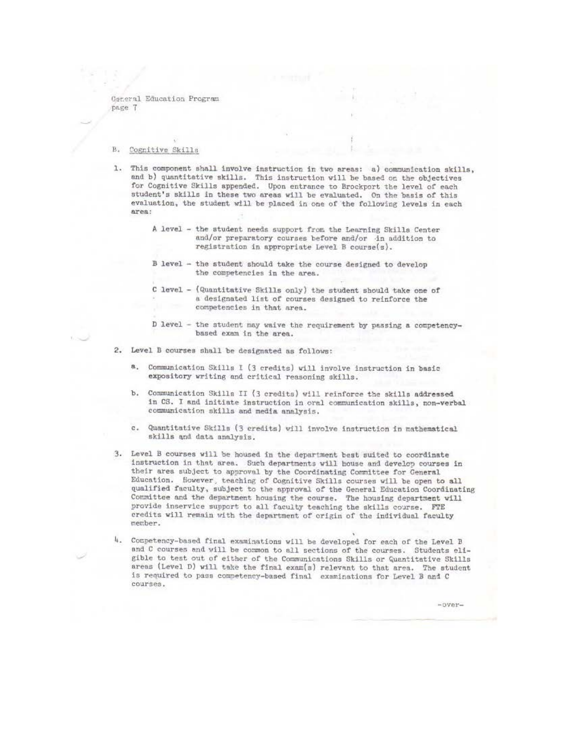#### $B.$ Cognitive Skills

- 1. This component shall involve instruction in two areas: a) communication skills, and b) quantitative skills. This instruction will be based on the objectives for Cognitive Skills appended. Upon entrance to Brockport the level of each student's skills in these two areas will be evaluated. On the basis of this evaluation, the student will be placed in one of the following levels in each area:
	- A level the student needs support from the Learning Skills Center and/or preparatory courses before and/or in addition to registration in appropriate Level B course(s).
	- B level the student should take the course designed to develop the competencies in the area.
	- C level (Quantitative Skills only) the student should take one of a designated list of courses designed to reinforce the competencies in that area.
	- D level the student may waive the requirement by passing a competencybased exam in the area.
- 2. Level B courses shall be designated as follows:
	- a. Communication Skills I (3 credits) will involve instruction in basic expository writing and critical reasoning skills.
	- b. Communication Skills II (3 credits) will reinforce the skills addressed in CS. I and initiate instruction in oral communication skills, non-verbal communication skills and media analysis.
	- c. Quantitative Skills (3 credits) will involve instruction in mathematical skills and data analysis.
- 3. Level B courses will be housed in the department best suited to coordinate instruction in that area. Such departments will house and develop courses in their area subject to approval by the Coordinating Committee for Ceneral Education. However, teaching of Cognitive Skills courses will be open to all qualified faculty, subject to the approval of the General Education Coordinating Committee and the department housing the course. The housing department will provide inservice support to all faculty teaching the skills course. FTE credits will remain with the department of origin of the individual faculty nember.
- 4. Competency-based final examinations will be developed for each of the Level B and C courses and will be common to all sections of the courses. Students eligible to test out of either of the Communications Skills or Quantitative Skills areas (Level D) will take the final exam(s) relevant to that area. The student is required to pass competency-based final examinations for Level B and C courses.

 $-0$ ver $-$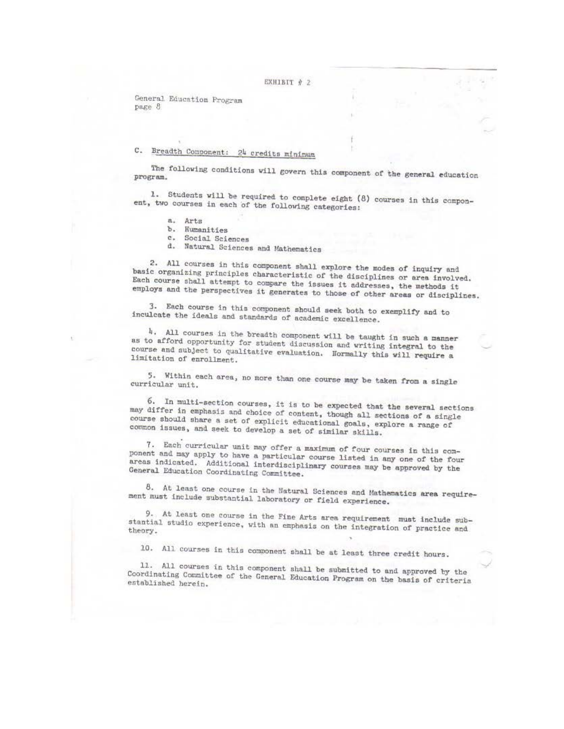# C. Breadth Component: 24 credits minimum

The following conditions will govern this component of the general education program.

1. Students will be required to complete eight (8) courses in this component, two courses in each of the following categories:

- a. Arts
- b. Humanities
- $\mathbf{c}$ . Social Sciences
- d. Natural Sciences and Mathematics

2. All courses in this component shall explore the modes of inquiry and basic organizing principles characteristic of the disciplines or area involved. Each course shall attempt to compare the issues it addresses, the methods it employs and the perspectives it generates to those of other areas or disciplines.

3. Each course in this component should seek both to exemplify and to inculcate the ideals and standards of academic excellence.

4. All courses in the breadth component will be taught in such a manner as to afford opportunity for student discussion and writing integral to the course and subject to qualitative evaluation. Normally this will require a limitation of enrollment.

5. Within each area, no more than one course may be taken from a single curricular unit.

6. In multi-section courses, it is to be expected that the several sections may differ in emphasis and choice of content, though all sections of a single course should share a set of explicit educational goals, explore a range of common issues, and seek to develop a set of similar skills.

7. Each curricular unit may offer a maximum of four courses in this component and may apply to have a particular course listed in any one of the four areas indicated. Additional interdisciplinary courses may be approved by the General Education Coordinating Committee.

8. At least one course in the Natural Sciences and Mathematics area requirement must include substantial laboratory or field experience.

9. At least one course in the Fine Arts area requirement must include substantial studio experience, with an emphasis on the integration of practice and theory.

10. All courses in this component shall be at least three credit hours.

11. All courses in this component shall be submitted to and approved by the Coordinating Committee of the General Education Program on the basis of criteria established herein.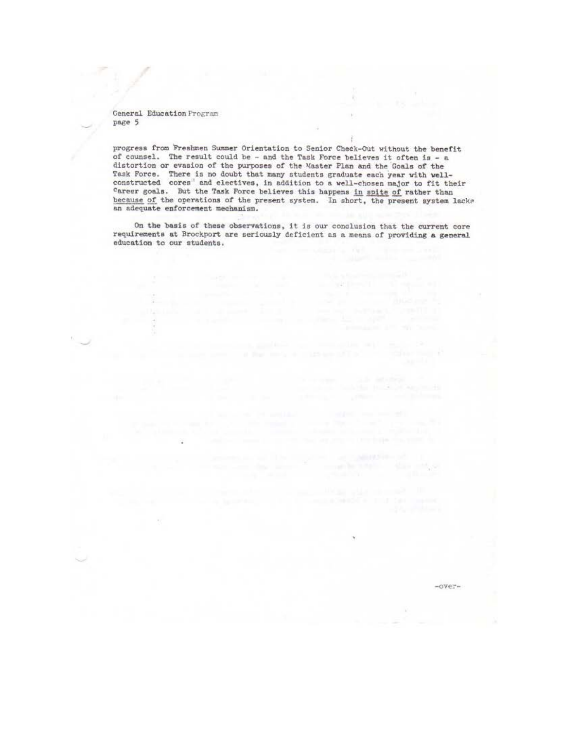progress from Freshmen Summer Orientation to Senior Check-Out without the benefit of counsel. The result could be - and the Task Force believes it often is - a distortion or evasion of the purposes of the Master Plan and the Goals of the Task Force. There is no doubt that many students graduate each year with wellconstructed cores" and electives, in addition to a well-chosen major to fit their Career goals. But the Task Force believes this happens in spite of rather than because of the operations of the present system. In short, the present system lacks an adequate enforcement mechanism.

 $\mathbf{r}$ 

÷

and with the CT in the Contract

ade atoma.<br>Solar productions in the

On the basis of these observations, it is our conclusion that the current core requirements at Brockport are seriously deficient as a means of providing a general education to our students.

 $-over =$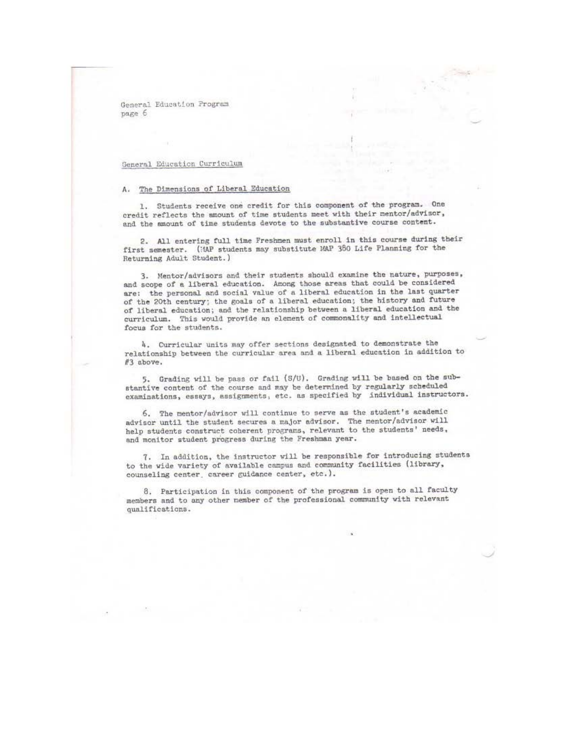General Education Program раде б

## General Education Curriculum

#### A. The Dimensions of Liberal Education

1. Students receive one credit for this component of the program. One credit reflects the amount of time students meet with their mentor/advisor, and the amount of time students devote to the substantive course content.

2. All entering full time Freshmen must enroll in this course during their first semester. (MAP students may substitute MAP 380 Life Planning for the Returning Adult Student.)

3. Mentor/advisors and their students should examine the nature, purposes, and scope of a liberal education. Among those areas that could be considered are: the personal and social value of a liberal education in the last quarter of the 20th century; the goals of a liberal education; the history and future of liberal education; and the relationship between a liberal education and the curriculum. This would provide an element of commonality and intellectual focus for the students.

4. Curricular units may offer sections designated to demonstrate the relationship between the curricular area and a liberal education in addition to #3 above.

5. Grading will be pass or fail (S/U). Grading will be based on the substantive content of the course and may be determined by regularly scheduled examinations, essays, assignments, etc. as specified by individual instructors.

6. The mentor/advisor will continue to serve as the student's academic advisor until the student secures a major advisor. The mentor/advisor will help students construct coherent programs, relevant to the students' needs, and monitor student progress during the Freshman year.

7. In addition, the instructor will be responsible for introducing students to the wide variety of available campus and community facilities (library, counseling center, career guidance center, etc.).

8. Participation in this component of the program is open to all faculty members and to any other member of the professional community with relevant qualifications.